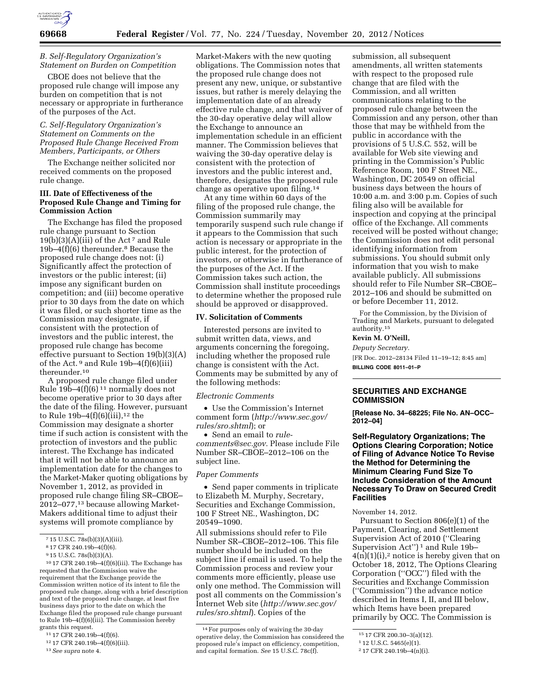

## *B. Self-Regulatory Organization's Statement on Burden on Competition*

CBOE does not believe that the proposed rule change will impose any burden on competition that is not necessary or appropriate in furtherance of the purposes of the Act.

# *C. Self-Regulatory Organization's Statement on Comments on the Proposed Rule Change Received From Members, Participants, or Others*

The Exchange neither solicited nor received comments on the proposed rule change.

### **III. Date of Effectiveness of the Proposed Rule Change and Timing for Commission Action**

The Exchange has filed the proposed rule change pursuant to Section  $19(b)(3)(A)(iii)$  of the Act<sup>7</sup> and Rule 19b–4(f)(6) thereunder.8 Because the proposed rule change does not: (i) Significantly affect the protection of investors or the public interest; (ii) impose any significant burden on competition; and (iii) become operative prior to 30 days from the date on which it was filed, or such shorter time as the Commission may designate, if consistent with the protection of investors and the public interest, the proposed rule change has become effective pursuant to Section 19(b)(3)(A) of the Act.  $9$  and Rule 19b-4(f)(6)(iii) thereunder.10

A proposed rule change filed under Rule  $19b-4(f)(6)^{11}$  normally does not become operative prior to 30 days after the date of the filing. However, pursuant to Rule  $19b-4(f)(6)(iii)$ ,<sup>12</sup> the Commission may designate a shorter time if such action is consistent with the protection of investors and the public interest. The Exchange has indicated that it will not be able to announce an implementation date for the changes to the Market-Maker quoting obligations by November 1, 2012, as provided in proposed rule change filing SR–CBOE– 2012–077,13 because allowing Market-Makers additional time to adjust their systems will promote compliance by

10 17 CFR 240.19b–4(f)(6)(iii). The Exchange has requested that the Commission waive the requirement that the Exchange provide the Commission written notice of its intent to file the proposed rule change, along with a brief description and text of the proposed rule change, at least five business days prior to the date on which the Exchange filed the proposed rule change pursuant to Rule 19b–4(f)(6)(iii). The Commission hereby grants this request.

11 17 CFR 240.19b–4(f)(6).

12 17 CFR 240.19b–4(f)(6)(iii).

13*See supra* note 4.

Market-Makers with the new quoting obligations. The Commission notes that the proposed rule change does not present any new, unique, or substantive issues, but rather is merely delaying the implementation date of an already effective rule change, and that waiver of the 30-day operative delay will allow the Exchange to announce an implementation schedule in an efficient manner. The Commission believes that waiving the 30-day operative delay is consistent with the protection of investors and the public interest and, therefore, designates the proposed rule change as operative upon filing.14

At any time within 60 days of the filing of the proposed rule change, the Commission summarily may temporarily suspend such rule change if it appears to the Commission that such action is necessary or appropriate in the public interest, for the protection of investors, or otherwise in furtherance of the purposes of the Act. If the Commission takes such action, the Commission shall institute proceedings to determine whether the proposed rule should be approved or disapproved.

#### **IV. Solicitation of Comments**

Interested persons are invited to submit written data, views, and arguments concerning the foregoing, including whether the proposed rule change is consistent with the Act. Comments may be submitted by any of the following methods:

#### *Electronic Comments*

• Use the Commission's Internet comment form (*[http://www.sec.gov/](http://www.sec.gov/rules/sro.shtml)  [rules/sro.shtml](http://www.sec.gov/rules/sro.shtml)*); or

• Send an email to *[rule](mailto:rule-comments@sec.gov)[comments@sec.gov.](mailto:rule-comments@sec.gov)* Please include File Number SR–CBOE–2012–106 on the subject line.

### *Paper Comments*

• Send paper comments in triplicate to Elizabeth M. Murphy, Secretary, Securities and Exchange Commission, 100 F Street NE., Washington, DC 20549–1090.

All submissions should refer to File Number SR–CBOE–2012–106. This file number should be included on the subject line if email is used. To help the Commission process and review your comments more efficiently, please use only one method. The Commission will post all comments on the Commission's Internet Web site (*[http://www.sec.gov/](http://www.sec.gov/rules/sro.shtml)  [rules/sro.shtml](http://www.sec.gov/rules/sro.shtml)*). Copies of the

submission, all subsequent amendments, all written statements with respect to the proposed rule change that are filed with the Commission, and all written communications relating to the proposed rule change between the Commission and any person, other than those that may be withheld from the public in accordance with the provisions of 5 U.S.C. 552, will be available for Web site viewing and printing in the Commission's Public Reference Room, 100 F Street NE., Washington, DC 20549 on official business days between the hours of 10:00 a.m. and 3:00 p.m. Copies of such filing also will be available for inspection and copying at the principal office of the Exchange. All comments received will be posted without change; the Commission does not edit personal identifying information from submissions. You should submit only information that you wish to make available publicly. All submissions should refer to File Number SR–CBOE– 2012–106 and should be submitted on or before December 11, 2012.

For the Commission, by the Division of Trading and Markets, pursuant to delegated authority.15

### **Kevin M. O'Neill,**

*Deputy Secretary.* 

[FR Doc. 2012–28134 Filed 11–19–12; 8:45 am] **BILLING CODE 8011–01–P** 

#### **SECURITIES AND EXCHANGE COMMISSION**

**[Release No. 34–68225; File No. AN–OCC– 2012–04]** 

# **Self-Regulatory Organizations; The Options Clearing Corporation; Notice of Filing of Advance Notice To Revise the Method for Determining the Minimum Clearing Fund Size To Include Consideration of the Amount Necessary To Draw on Secured Credit Facilities**

November 14, 2012.

Pursuant to Section 806(e)(1) of the Payment, Clearing, and Settlement Supervision Act of 2010 (''Clearing Supervision Act")<sup>1</sup> and Rule 19b- $4(n)(1)(i)$ ,<sup>2</sup> notice is hereby given that on October 18, 2012, The Options Clearing Corporation (''OCC'') filed with the Securities and Exchange Commission (''Commission'') the advance notice described in Items I, II, and III below, which Items have been prepared primarily by OCC. The Commission is

<sup>7</sup> 15 U.S.C. 78s(b)(3)(A)(iii).

<sup>8</sup> 17 CFR 240.19b–4(f)(6).

<sup>9</sup> 15 U.S.C. 78s(b)(3)(A).

<sup>14</sup>For purposes only of waiving the 30-day operative delay, the Commission has considered the proposed rule's impact on efficiency, competition, and capital formation. *See* 15 U.S.C. 78c(f).

<sup>15</sup> 17 CFR 200.30–3(a)(12).

<sup>1</sup> 12 U.S.C. 5465(e)(1).

<sup>2</sup> 17 CFR 240.19b–4(n)(i).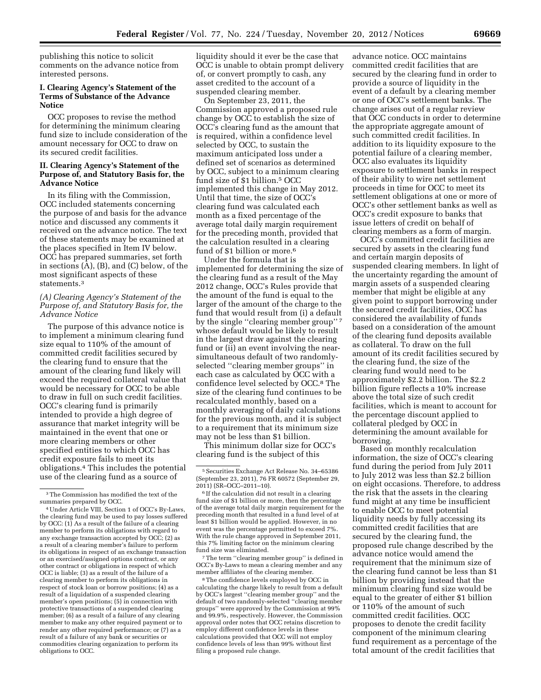publishing this notice to solicit comments on the advance notice from interested persons.

### **I. Clearing Agency's Statement of the Terms of Substance of the Advance Notice**

OCC proposes to revise the method for determining the minimum clearing fund size to include consideration of the amount necessary for OCC to draw on its secured credit facilities.

# **II. Clearing Agency's Statement of the Purpose of, and Statutory Basis for, the Advance Notice**

In its filing with the Commission, OCC included statements concerning the purpose of and basis for the advance notice and discussed any comments it received on the advance notice. The text of these statements may be examined at the places specified in Item IV below. OCC has prepared summaries, set forth in sections (A), (B), and (C) below, of the most significant aspects of these statements.3

# *(A) Clearing Agency's Statement of the Purpose of, and Statutory Basis for, the Advance Notice*

The purpose of this advance notice is to implement a minimum clearing fund size equal to 110% of the amount of committed credit facilities secured by the clearing fund to ensure that the amount of the clearing fund likely will exceed the required collateral value that would be necessary for OCC to be able to draw in full on such credit facilities. OCC's clearing fund is primarily intended to provide a high degree of assurance that market integrity will be maintained in the event that one or more clearing members or other specified entities to which OCC has credit exposure fails to meet its obligations.4 This includes the potential use of the clearing fund as a source of

liquidity should it ever be the case that OCC is unable to obtain prompt delivery of, or convert promptly to cash, any asset credited to the account of a suspended clearing member.

On September 23, 2011, the Commission approved a proposed rule change by OCC to establish the size of OCC's clearing fund as the amount that is required, within a confidence level selected by OCC, to sustain the maximum anticipated loss under a defined set of scenarios as determined by OCC, subject to a minimum clearing fund size of \$1 billion.5 OCC implemented this change in May 2012. Until that time, the size of OCC's clearing fund was calculated each month as a fixed percentage of the average total daily margin requirement for the preceding month, provided that the calculation resulted in a clearing fund of \$1 billion or more.<sup>6</sup>

Under the formula that is implemented for determining the size of the clearing fund as a result of the May 2012 change, OCC's Rules provide that the amount of the fund is equal to the larger of the amount of the charge to the fund that would result from (i) a default by the single "clearing member group"<sup>7</sup> whose default would be likely to result in the largest draw against the clearing fund or (ii) an event involving the nearsimultaneous default of two randomlyselected ''clearing member groups'' in each case as calculated by OCC with a confidence level selected by OCC.8 The size of the clearing fund continues to be recalculated monthly, based on a monthly averaging of daily calculations for the previous month, and it is subject to a requirement that its minimum size may not be less than \$1 billion.

This minimum dollar size for OCC's clearing fund is the subject of this

7The term ''clearing member group'' is defined in OCC's By-Laws to mean a clearing member and any member affiliates of the clearing member.

8The confidence levels employed by OCC in calculating the charge likely to result from a default by OCC's largest ''clearing member group'' and the default of two randomly-selected ''clearing member groups'' were approved by the Commission at 99% and 99.9%, respectively. However, the Commission approval order notes that OCC retains discretion to employ different confidence levels in these calculations provided that OCC will not employ confidence levels of less than 99% without first filing a proposed rule change.

advance notice. OCC maintains committed credit facilities that are secured by the clearing fund in order to provide a source of liquidity in the event of a default by a clearing member or one of OCC's settlement banks. The change arises out of a regular review that OCC conducts in order to determine the appropriate aggregate amount of such committed credit facilities. In addition to its liquidity exposure to the potential failure of a clearing member, OCC also evaluates its liquidity exposure to settlement banks in respect of their ability to wire net settlement proceeds in time for OCC to meet its settlement obligations at one or more of OCC's other settlement banks as well as OCC's credit exposure to banks that issue letters of credit on behalf of clearing members as a form of margin.

OCC's committed credit facilities are secured by assets in the clearing fund and certain margin deposits of suspended clearing members. In light of the uncertainty regarding the amount of margin assets of a suspended clearing member that might be eligible at any given point to support borrowing under the secured credit facilities, OCC has considered the availability of funds based on a consideration of the amount of the clearing fund deposits available as collateral. To draw on the full amount of its credit facilities secured by the clearing fund, the size of the clearing fund would need to be approximately \$2.2 billion. The \$2.2 billion figure reflects a 10% increase above the total size of such credit facilities, which is meant to account for the percentage discount applied to collateral pledged by OCC in determining the amount available for borrowing.

Based on monthly recalculation information, the size of OCC's clearing fund during the period from July 2011 to July 2012 was less than \$2.2 billion on eight occasions. Therefore, to address the risk that the assets in the clearing fund might at any time be insufficient to enable OCC to meet potential liquidity needs by fully accessing its committed credit facilities that are secured by the clearing fund, the proposed rule change described by the advance notice would amend the requirement that the minimum size of the clearing fund cannot be less than \$1 billion by providing instead that the minimum clearing fund size would be equal to the greater of either \$1 billion or 110% of the amount of such committed credit facilities. OCC proposes to denote the credit facility component of the minimum clearing fund requirement as a percentage of the total amount of the credit facilities that

<sup>3</sup>The Commission has modified the text of the summaries prepared by OCC.

<sup>4</sup>Under Article VIII, Section 1 of OCC's By-Laws, the clearing fund may be used to pay losses suffered by OCC: (1) As a result of the failure of a clearing member to perform its obligations with regard to any exchange transaction accepted by OCC; (2) as a result of a clearing member's failure to perform its obligations in respect of an exchange transaction or an exercised/assigned options contract, or any other contract or obligations in respect of which OCC is liable; (3) as a result of the failure of a clearing member to perform its obligations in respect of stock loan or borrow positions; (4) as a result of a liquidation of a suspended clearing member's open positions; (5) in connection with protective transactions of a suspended clearing member; (6) as a result of a failure of any clearing member to make any other required payment or to render any other required performance; or (7) as a result of a failure of any bank or securities or commodities clearing organization to perform its obligations to OCC.

<sup>5</sup>Securities Exchange Act Release No. 34–65386 (September 23, 2011), 76 FR 60572 (September 29, 2011) (SR–OCC–2011–10).

<sup>6</sup> If the calculation did not result in a clearing fund size of \$1 billion or more, then the percentage of the average total daily margin requirement for the preceding month that resulted in a fund level of at least \$1 billion would be applied. However, in no event was the percentage permitted to exceed 7%. With the rule change approved in September 2011, this 7% limiting factor on the minimum clearing fund size was eliminated.